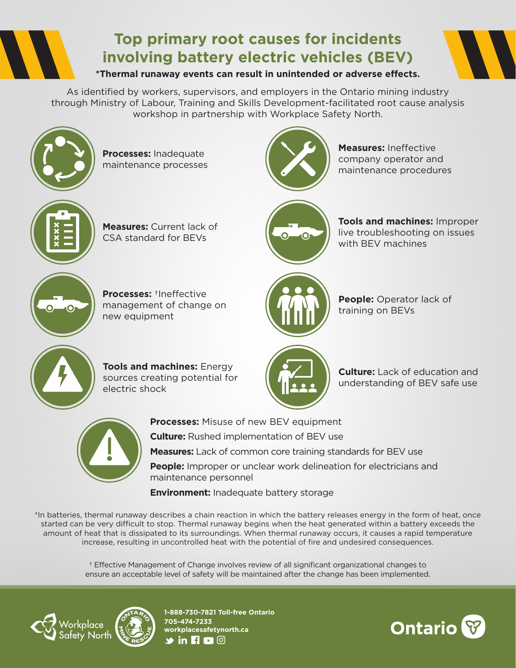

# **Top primary root causes for incidents involving battery electric vehicles (BEV)**

**\*Thermal runaway events can result in unintended or adverse effects.**

As identified by workers, supervisors, and employers in the Ontario mining industry through Ministry of Labour, Training and Skills Development-facilitated root cause analysis workshop in partnership with Workplace Safety North.



**Processes:** Inadequate maintenance processes



**Measures:** Ineffective company operator and maintenance procedures



**Measures:** Current lack of CSA standard for BEVs



**Tools and machines:** Improper live troubleshooting on issues with BEV machines



**Processes:** †Ineffective management of change on new equipment



**People:** Operator lack of training on BEVs



**Tools and machines:** Energy sources creating potential for electric shock



**Culture:** Lack of education and understanding of BEV safe use



**Processes:** Misuse of new BEV equipment

**Culture:** Rushed implementation of BEV use

**Measures:** Lack of common core training standards for BEV use

**People:** Improper or unclear work delineation for electricians and maintenance personnel

**Environment:** Inadequate battery storage

\*In batteries, thermal runaway describes a chain reaction in which the battery releases energy in the form of heat, once started can be very difficult to stop. Thermal runaway begins when the heat generated within a battery exceeds the amount of heat that is dissipated to its surroundings. When thermal runaway occurs, it causes a rapid temperature increase, resulting in uncontrolled heat with the potential of fire and undesired consequences.

> † Effective Management of Change involves review of all significant organizational changes to ensure an acceptable level of safety will be maintained after the change has been implemented.



**1-888-730-7821 Toll-free Ontario 705-474-7233 workplacesafetynorth.ca**  $\blacktriangleright$  in **R** c  $\odot$